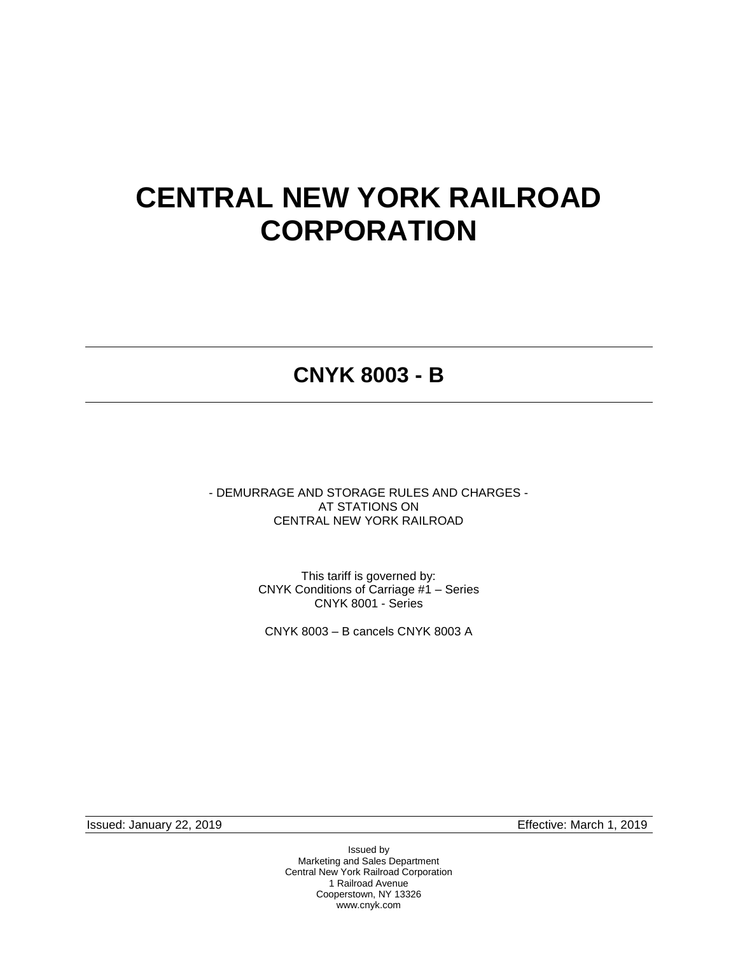# **CENTRAL NEW YORK RAILROAD CORPORATION**

# **CNYK 8003 - B**

- DEMURRAGE AND STORAGE RULES AND CHARGES - AT STATIONS ON CENTRAL NEW YORK RAILROAD

> This tariff is governed by: CNYK Conditions of Carriage #1 – Series CNYK 8001 - Series

CNYK 8003 – B cancels CNYK 8003 A

Issued: January 22, 2019 Effective: March 1, 2019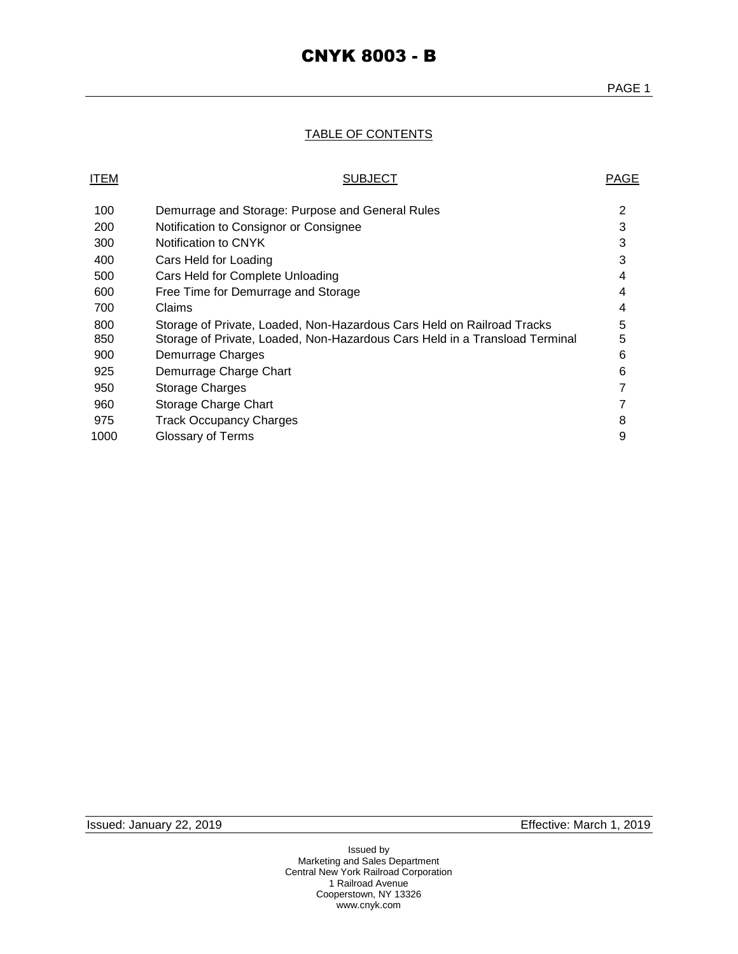### TABLE OF CONTENTS

### ITEM PAGE

| 100  | Demurrage and Storage: Purpose and General Rules                            | 2 |
|------|-----------------------------------------------------------------------------|---|
| 200  | Notification to Consignor or Consignee                                      | 3 |
| 300  | Notification to CNYK                                                        | 3 |
| 400  | Cars Held for Loading                                                       | 3 |
| 500  | Cars Held for Complete Unloading                                            | 4 |
| 600  | Free Time for Demurrage and Storage                                         | 4 |
| 700  | <b>Claims</b>                                                               | 4 |
| 800  | Storage of Private, Loaded, Non-Hazardous Cars Held on Railroad Tracks      | 5 |
| 850  | Storage of Private, Loaded, Non-Hazardous Cars Held in a Transload Terminal | 5 |
| 900  | Demurrage Charges                                                           | 6 |
| 925  | Demurrage Charge Chart                                                      | 6 |
| 950  | Storage Charges                                                             | 7 |
| 960  | Storage Charge Chart                                                        | 7 |
| 975  | <b>Track Occupancy Charges</b>                                              | 8 |
| 1000 | Glossary of Terms                                                           | 9 |
|      |                                                                             |   |

Issued: January 22, 2019 Effective: March 1, 2019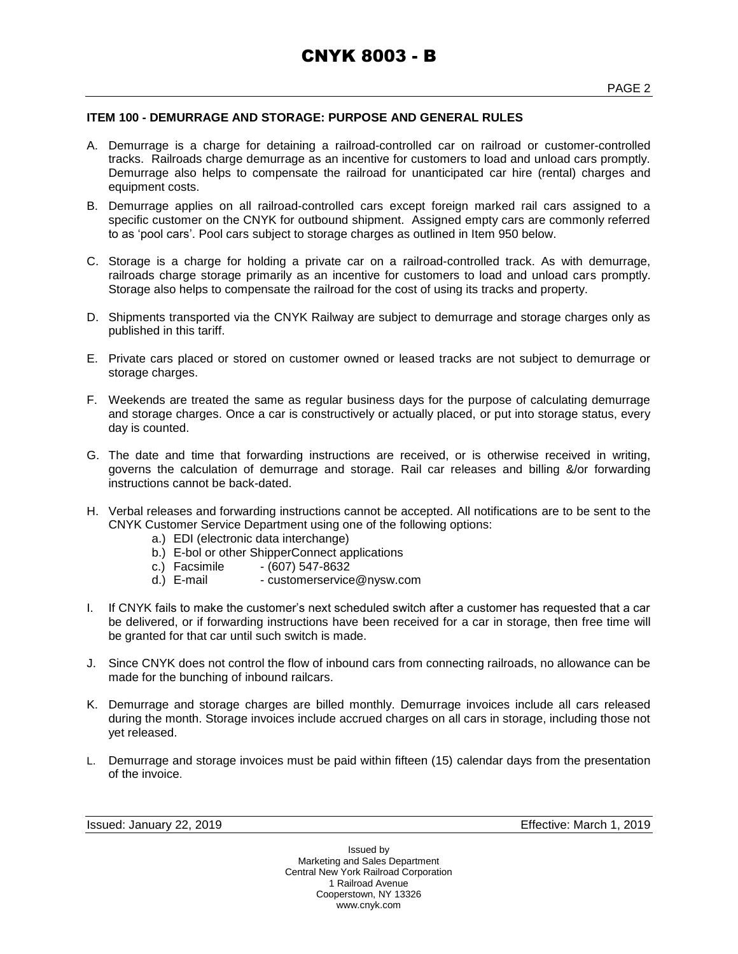#### **ITEM 100 - DEMURRAGE AND STORAGE: PURPOSE AND GENERAL RULES**

- A. Demurrage is a charge for detaining a railroad-controlled car on railroad or customer-controlled tracks. Railroads charge demurrage as an incentive for customers to load and unload cars promptly. Demurrage also helps to compensate the railroad for unanticipated car hire (rental) charges and equipment costs.
- B. Demurrage applies on all railroad-controlled cars except foreign marked rail cars assigned to a specific customer on the CNYK for outbound shipment. Assigned empty cars are commonly referred to as 'pool cars'. Pool cars subject to storage charges as outlined in Item 950 below.
- C. Storage is a charge for holding a private car on a railroad-controlled track. As with demurrage, railroads charge storage primarily as an incentive for customers to load and unload cars promptly. Storage also helps to compensate the railroad for the cost of using its tracks and property.
- D. Shipments transported via the CNYK Railway are subject to demurrage and storage charges only as published in this tariff.
- E. Private cars placed or stored on customer owned or leased tracks are not subject to demurrage or storage charges.
- F. Weekends are treated the same as regular business days for the purpose of calculating demurrage and storage charges. Once a car is constructively or actually placed, or put into storage status, every day is counted.
- G. The date and time that forwarding instructions are received, or is otherwise received in writing, governs the calculation of demurrage and storage. Rail car releases and billing &/or forwarding instructions cannot be back-dated.
- H. Verbal releases and forwarding instructions cannot be accepted. All notifications are to be sent to the CNYK Customer Service Department using one of the following options:
	- a.) EDI (electronic data interchange)
	- b.) E-bol or other ShipperConnect applications
	-
	- c.) Facsimile (607) 547-8632<br>d.) E-mail customerservice - customerservice@nysw.com
- I. If CNYK fails to make the customer's next scheduled switch after a customer has requested that a car be delivered, or if forwarding instructions have been received for a car in storage, then free time will be granted for that car until such switch is made.
- J. Since CNYK does not control the flow of inbound cars from connecting railroads, no allowance can be made for the bunching of inbound railcars.
- K. Demurrage and storage charges are billed monthly. Demurrage invoices include all cars released during the month. Storage invoices include accrued charges on all cars in storage, including those not yet released.
- L. Demurrage and storage invoices must be paid within fifteen (15) calendar days from the presentation of the invoice.

Issued: January 22, 2019 Effective: March 1, 2019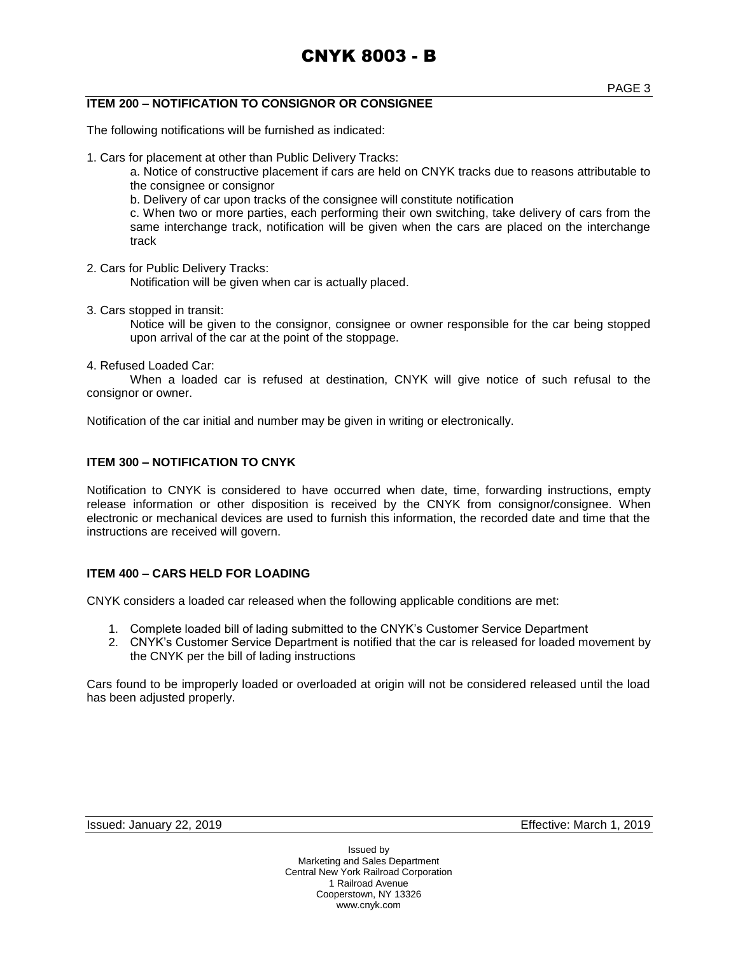### **ITEM 200 – NOTIFICATION TO CONSIGNOR OR CONSIGNEE**

The following notifications will be furnished as indicated:

1. Cars for placement at other than Public Delivery Tracks:

a. Notice of constructive placement if cars are held on CNYK tracks due to reasons attributable to the consignee or consignor

b. Delivery of car upon tracks of the consignee will constitute notification

c. When two or more parties, each performing their own switching, take delivery of cars from the same interchange track, notification will be given when the cars are placed on the interchange track

- 2. Cars for Public Delivery Tracks: Notification will be given when car is actually placed.
- 3. Cars stopped in transit:

Notice will be given to the consignor, consignee or owner responsible for the car being stopped upon arrival of the car at the point of the stoppage.

4. Refused Loaded Car:

When a loaded car is refused at destination, CNYK will give notice of such refusal to the consignor or owner.

Notification of the car initial and number may be given in writing or electronically.

#### **ITEM 300 – NOTIFICATION TO CNYK**

Notification to CNYK is considered to have occurred when date, time, forwarding instructions, empty release information or other disposition is received by the CNYK from consignor/consignee. When electronic or mechanical devices are used to furnish this information, the recorded date and time that the instructions are received will govern.

#### **ITEM 400 – CARS HELD FOR LOADING**

CNYK considers a loaded car released when the following applicable conditions are met:

- 1. Complete loaded bill of lading submitted to the CNYK's Customer Service Department
- 2. CNYK's Customer Service Department is notified that the car is released for loaded movement by the CNYK per the bill of lading instructions

Cars found to be improperly loaded or overloaded at origin will not be considered released until the load has been adjusted properly.

Issued: January 22, 2019 Effective: March 1, 2019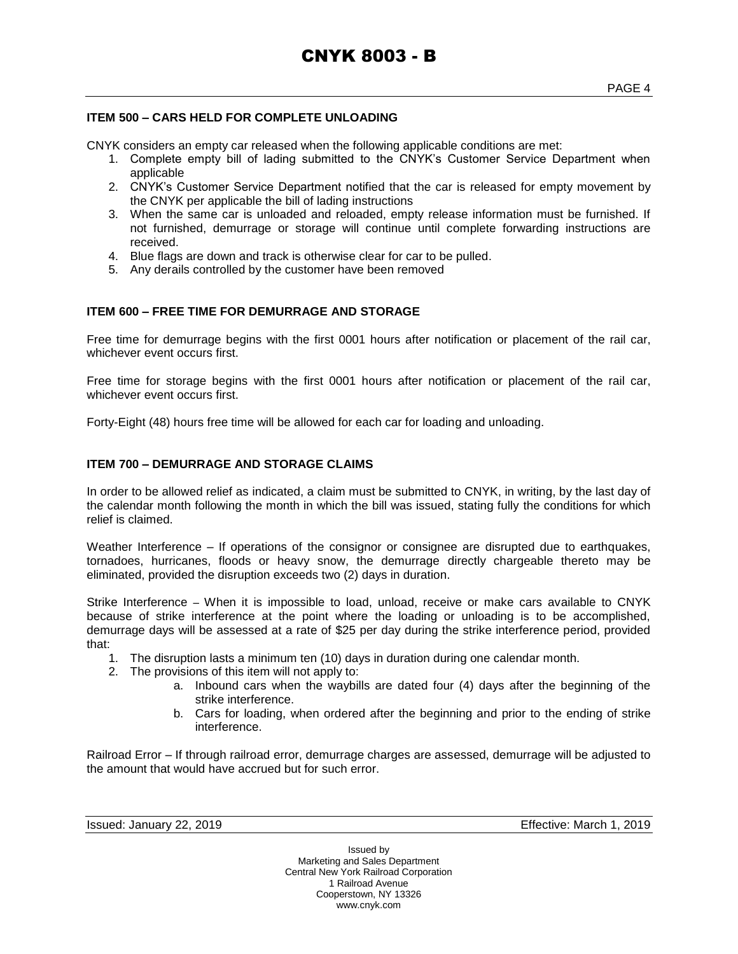#### **ITEM 500 – CARS HELD FOR COMPLETE UNLOADING**

CNYK considers an empty car released when the following applicable conditions are met:

- 1. Complete empty bill of lading submitted to the CNYK's Customer Service Department when applicable
- 2. CNYK's Customer Service Department notified that the car is released for empty movement by the CNYK per applicable the bill of lading instructions
- 3. When the same car is unloaded and reloaded, empty release information must be furnished. If not furnished, demurrage or storage will continue until complete forwarding instructions are received.
- 4. Blue flags are down and track is otherwise clear for car to be pulled.
- 5. Any derails controlled by the customer have been removed

#### **ITEM 600 – FREE TIME FOR DEMURRAGE AND STORAGE**

Free time for demurrage begins with the first 0001 hours after notification or placement of the rail car, whichever event occurs first.

Free time for storage begins with the first 0001 hours after notification or placement of the rail car, whichever event occurs first.

Forty-Eight (48) hours free time will be allowed for each car for loading and unloading.

#### **ITEM 700 – DEMURRAGE AND STORAGE CLAIMS**

In order to be allowed relief as indicated, a claim must be submitted to CNYK, in writing, by the last day of the calendar month following the month in which the bill was issued, stating fully the conditions for which relief is claimed.

Weather Interference – If operations of the consignor or consignee are disrupted due to earthquakes, tornadoes, hurricanes, floods or heavy snow, the demurrage directly chargeable thereto may be eliminated, provided the disruption exceeds two (2) days in duration.

Strike Interference – When it is impossible to load, unload, receive or make cars available to CNYK because of strike interference at the point where the loading or unloading is to be accomplished, demurrage days will be assessed at a rate of \$25 per day during the strike interference period, provided that:

- 1. The disruption lasts a minimum ten (10) days in duration during one calendar month.
- 2. The provisions of this item will not apply to:
	- a. Inbound cars when the waybills are dated four (4) days after the beginning of the strike interference.
	- b. Cars for loading, when ordered after the beginning and prior to the ending of strike interference.

Railroad Error – If through railroad error, demurrage charges are assessed, demurrage will be adjusted to the amount that would have accrued but for such error.

Issued: January 22, 2019 Effective: March 1, 2019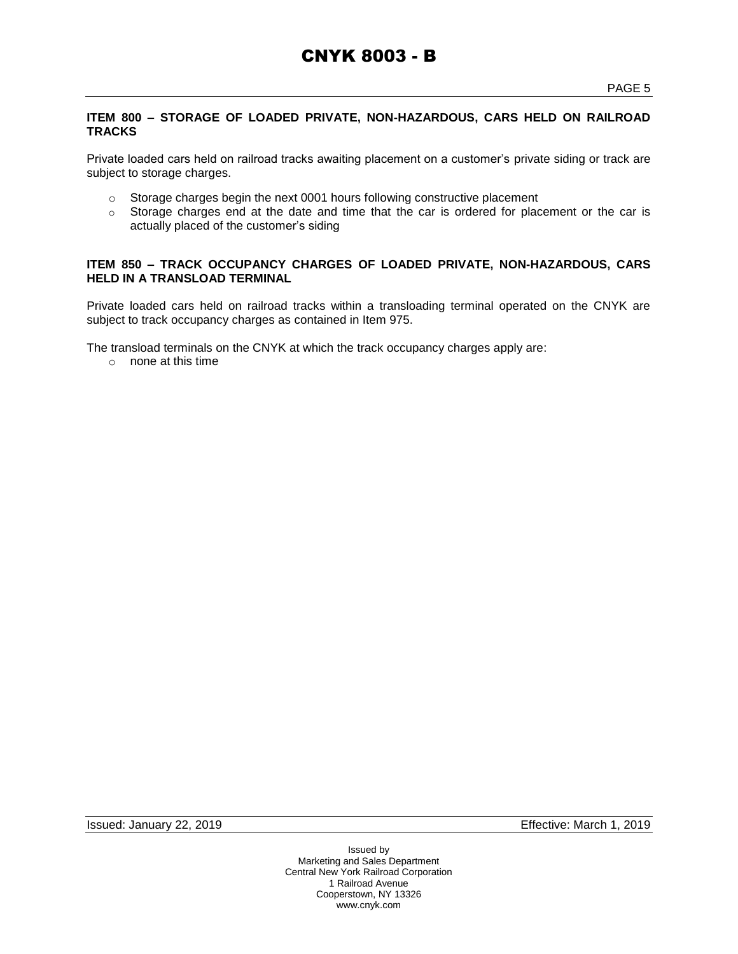### **ITEM 800 – STORAGE OF LOADED PRIVATE, NON-HAZARDOUS, CARS HELD ON RAILROAD TRACKS**

Private loaded cars held on railroad tracks awaiting placement on a customer's private siding or track are subject to storage charges.

- o Storage charges begin the next 0001 hours following constructive placement
- o Storage charges end at the date and time that the car is ordered for placement or the car is actually placed of the customer's siding

#### **ITEM 850 – TRACK OCCUPANCY CHARGES OF LOADED PRIVATE, NON-HAZARDOUS, CARS HELD IN A TRANSLOAD TERMINAL**

Private loaded cars held on railroad tracks within a transloading terminal operated on the CNYK are subject to track occupancy charges as contained in Item 975.

The transload terminals on the CNYK at which the track occupancy charges apply are:

o none at this time

Issued: January 22, 2019 Effective: March 1, 2019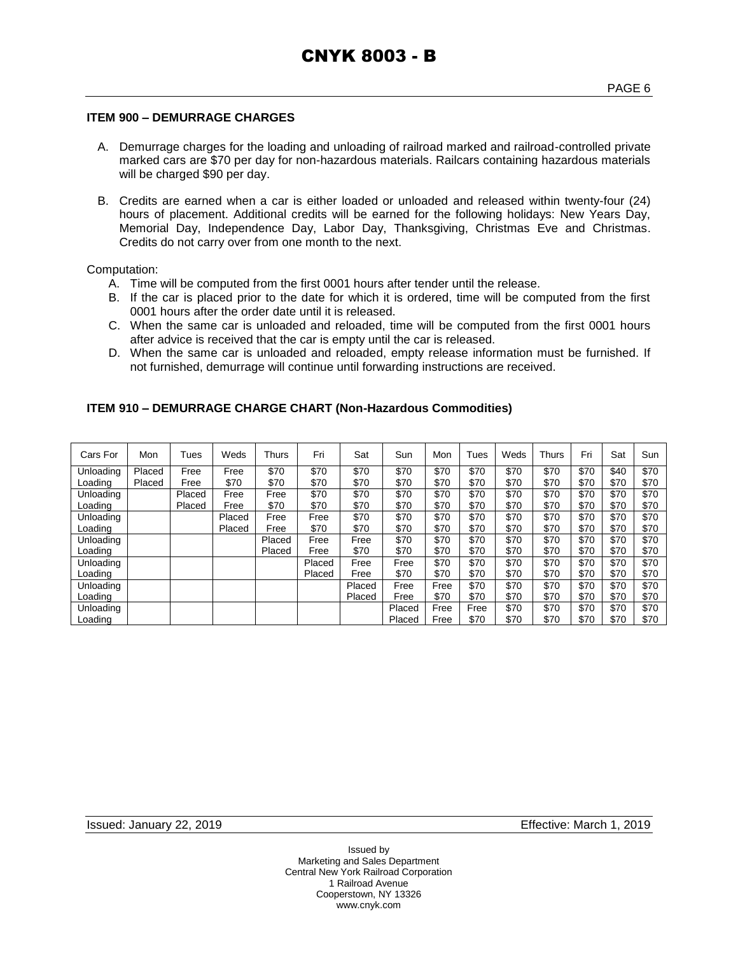#### **ITEM 900 – DEMURRAGE CHARGES**

- A. Demurrage charges for the loading and unloading of railroad marked and railroad-controlled private marked cars are \$70 per day for non-hazardous materials. Railcars containing hazardous materials will be charged \$90 per day.
- B. Credits are earned when a car is either loaded or unloaded and released within twenty-four (24) hours of placement. Additional credits will be earned for the following holidays: New Years Day, Memorial Day, Independence Day, Labor Day, Thanksgiving, Christmas Eve and Christmas. Credits do not carry over from one month to the next.

Computation:

- A. Time will be computed from the first 0001 hours after tender until the release.
- B. If the car is placed prior to the date for which it is ordered, time will be computed from the first 0001 hours after the order date until it is released.
- C. When the same car is unloaded and reloaded, time will be computed from the first 0001 hours after advice is received that the car is empty until the car is released.
- D. When the same car is unloaded and reloaded, empty release information must be furnished. If not furnished, demurrage will continue until forwarding instructions are received.

| Cars For  | Mon    | Tues   | Weds   | Thurs  | Fri    | Sat    | Sun    | Mon  | Tues | Weds | <b>Thurs</b> | Fri  | Sat  | Sun  |
|-----------|--------|--------|--------|--------|--------|--------|--------|------|------|------|--------------|------|------|------|
| Unloading | Placed | Free   | Free   | \$70   | \$70   | \$70   | \$70   | \$70 | \$70 | \$70 | \$70         | \$70 | \$40 | \$70 |
| Loading   | Placed | Free   | \$70   | \$70   | \$70   | \$70   | \$70   | \$70 | \$70 | \$70 | \$70         | \$70 | \$70 | \$70 |
| Unloading |        | Placed | Free   | Free   | \$70   | \$70   | \$70   | \$70 | \$70 | \$70 | \$70         | \$70 | \$70 | \$70 |
| Loading   |        | Placed | Free   | \$70   | \$70   | \$70   | \$70   | \$70 | \$70 | \$70 | \$70         | \$70 | \$70 | \$70 |
| Unloading |        |        | Placed | Free   | Free   | \$70   | \$70   | \$70 | \$70 | \$70 | \$70         | \$70 | \$70 | \$70 |
| Loading   |        |        | Placed | Free   | \$70   | \$70   | \$70   | \$70 | \$70 | \$70 | \$70         | \$70 | \$70 | \$70 |
| Unloading |        |        |        | Placed | Free   | Free   | \$70   | \$70 | \$70 | \$70 | \$70         | \$70 | \$70 | \$70 |
| Loading   |        |        |        | Placed | Free   | \$70   | \$70   | \$70 | \$70 | \$70 | \$70         | \$70 | \$70 | \$70 |
| Unloading |        |        |        |        | Placed | Free   | Free   | \$70 | \$70 | \$70 | \$70         | \$70 | \$70 | \$70 |
| Loading   |        |        |        |        | Placed | Free   | \$70   | \$70 | \$70 | \$70 | \$70         | \$70 | \$70 | \$70 |
| Unloading |        |        |        |        |        | Placed | Free   | Free | \$70 | \$70 | \$70         | \$70 | \$70 | \$70 |
| Loading   |        |        |        |        |        | Placed | Free   | \$70 | \$70 | \$70 | \$70         | \$70 | \$70 | \$70 |
| Unloading |        |        |        |        |        |        | Placed | Free | Free | \$70 | \$70         | \$70 | \$70 | \$70 |
| Loading   |        |        |        |        |        |        | Placed | Free | \$70 | \$70 | \$70         | \$70 | \$70 | \$70 |

#### **ITEM 910 – DEMURRAGE CHARGE CHART (Non-Hazardous Commodities)**

Issued: January 22, 2019 Effective: March 1, 2019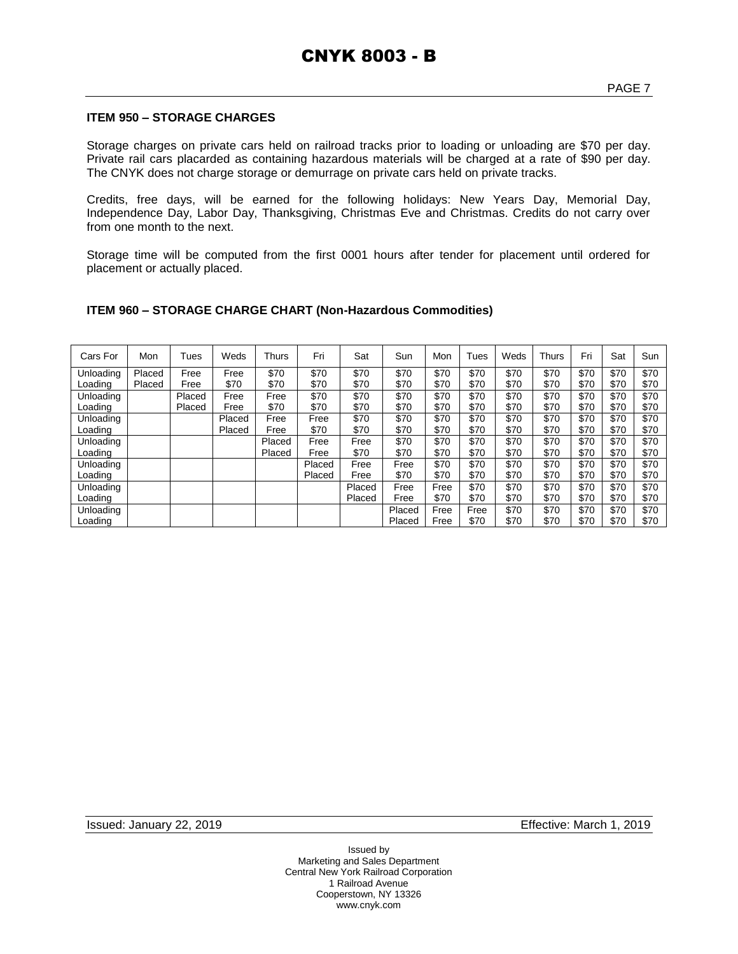#### **ITEM 950 – STORAGE CHARGES**

Storage charges on private cars held on railroad tracks prior to loading or unloading are \$70 per day. Private rail cars placarded as containing hazardous materials will be charged at a rate of \$90 per day. The CNYK does not charge storage or demurrage on private cars held on private tracks.

Credits, free days, will be earned for the following holidays: New Years Day, Memorial Day, Independence Day, Labor Day, Thanksgiving, Christmas Eve and Christmas. Credits do not carry over from one month to the next.

Storage time will be computed from the first 0001 hours after tender for placement until ordered for placement or actually placed.

#### **ITEM 960 – STORAGE CHARGE CHART (Non-Hazardous Commodities)**

| Cars For  | Mon    | Tues   | Weds   | Thurs  | Fri    | Sat    | Sun    | Mon  | Tues | Weds | <b>Thurs</b> | Fri  | Sat  | Sun  |
|-----------|--------|--------|--------|--------|--------|--------|--------|------|------|------|--------------|------|------|------|
| Unloading | Placed | Free   | Free   | \$70   | \$70   | \$70   | \$70   | \$70 | \$70 | \$70 | \$70         | \$70 | \$70 | \$70 |
| Loading   | Placed | Free   | \$70   | \$70   | \$70   | \$70   | \$70   | \$70 | \$70 | \$70 | \$70         | \$70 | \$70 | \$70 |
| Unloading |        | Placed | Free   | Free   | \$70   | \$70   | \$70   | \$70 | \$70 | \$70 | \$70         | \$70 | \$70 | \$70 |
| Loading   |        | Placed | Free   | \$70   | \$70   | \$70   | \$70   | \$70 | \$70 | \$70 | \$70         | \$70 | \$70 | \$70 |
| Unloading |        |        | Placed | Free   | Free   | \$70   | \$70   | \$70 | \$70 | \$70 | \$70         | \$70 | \$70 | \$70 |
| Loading   |        |        | Placed | Free   | \$70   | \$70   | \$70   | \$70 | \$70 | \$70 | \$70         | \$70 | \$70 | \$70 |
| Unloading |        |        |        | Placed | Free   | Free   | \$70   | \$70 | \$70 | \$70 | \$70         | \$70 | \$70 | \$70 |
| Loading   |        |        |        | Placed | Free   | \$70   | \$70   | \$70 | \$70 | \$70 | \$70         | \$70 | \$70 | \$70 |
| Unloading |        |        |        |        | Placed | Free   | Free   | \$70 | \$70 | \$70 | \$70         | \$70 | \$70 | \$70 |
| Loading   |        |        |        |        | Placed | Free   | \$70   | \$70 | \$70 | \$70 | \$70         | \$70 | \$70 | \$70 |
| Unloading |        |        |        |        |        | Placed | Free   | Free | \$70 | \$70 | \$70         | \$70 | \$70 | \$70 |
| Loading   |        |        |        |        |        | Placed | Free   | \$70 | \$70 | \$70 | \$70         | \$70 | \$70 | \$70 |
| Unloading |        |        |        |        |        |        | Placed | Free | Free | \$70 | \$70         | \$70 | \$70 | \$70 |
| Loading   |        |        |        |        |        |        | Placed | Free | \$70 | \$70 | \$70         | \$70 | \$70 | \$70 |

Issued: January 22, 2019 Effective: March 1, 2019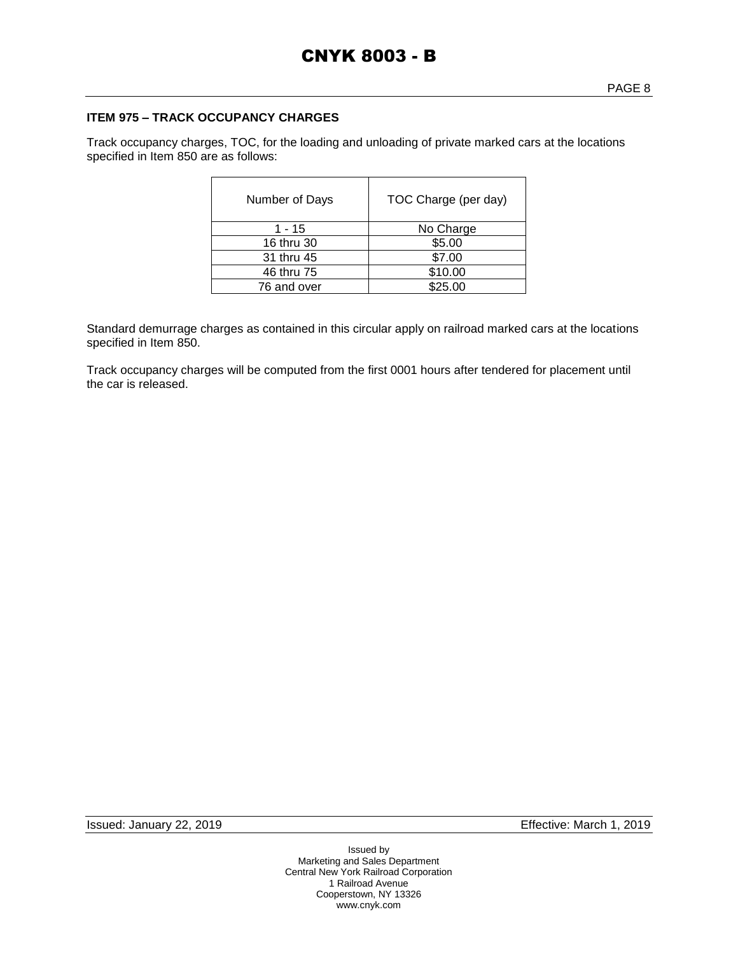#### **ITEM 975 – TRACK OCCUPANCY CHARGES**

Track occupancy charges, TOC, for the loading and unloading of private marked cars at the locations specified in Item 850 are as follows:

| Number of Days | TOC Charge (per day) |
|----------------|----------------------|
| 1 - 15         | No Charge            |
| 16 thru 30     | \$5.00               |
| 31 thru 45     | \$7.00               |
| 46 thru 75     | \$10.00              |
| 76 and over    | \$25.00              |

Standard demurrage charges as contained in this circular apply on railroad marked cars at the locations specified in Item 850.

Track occupancy charges will be computed from the first 0001 hours after tendered for placement until the car is released.

Issued: January 22, 2019 Effective: March 1, 2019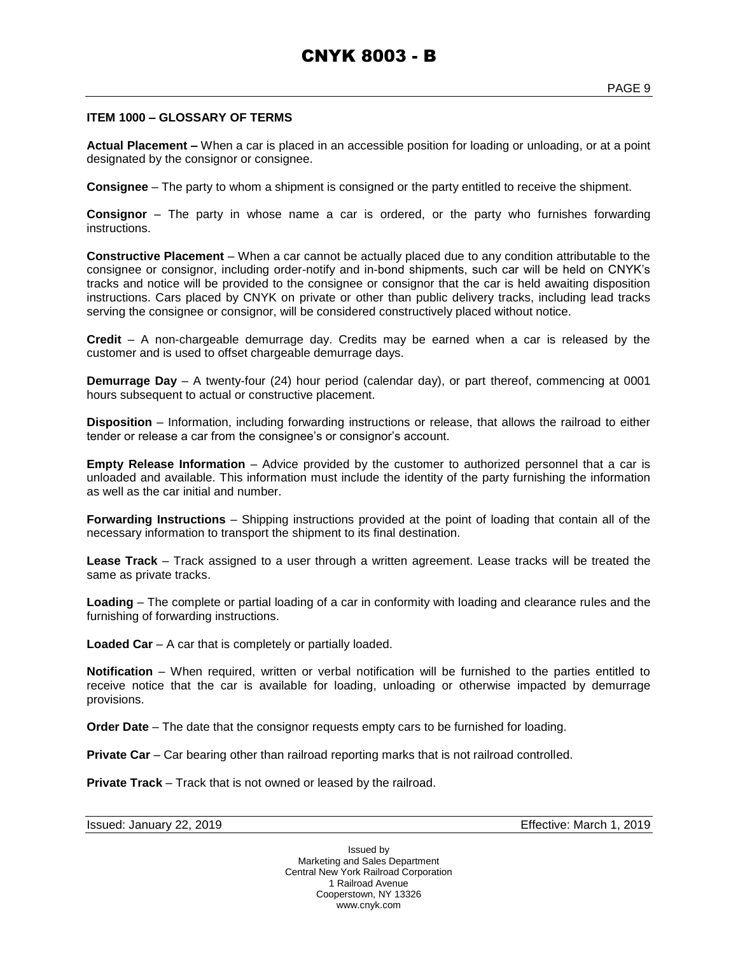#### **ITEM 1000 – GLOSSARY OF TERMS**

**Actual Placement –** When a car is placed in an accessible position for loading or unloading, or at a point designated by the consignor or consignee.

**Consignee** – The party to whom a shipment is consigned or the party entitled to receive the shipment.

**Consignor** – The party in whose name a car is ordered, or the party who furnishes forwarding instructions.

**Constructive Placement** – When a car cannot be actually placed due to any condition attributable to the consignee or consignor, including order-notify and in-bond shipments, such car will be held on CNYK's tracks and notice will be provided to the consignee or consignor that the car is held awaiting disposition instructions. Cars placed by CNYK on private or other than public delivery tracks, including lead tracks serving the consignee or consignor, will be considered constructively placed without notice.

**Credit** – A non-chargeable demurrage day. Credits may be earned when a car is released by the customer and is used to offset chargeable demurrage days.

**Demurrage Day** – A twenty-four (24) hour period (calendar day), or part thereof, commencing at 0001 hours subsequent to actual or constructive placement.

**Disposition** – Information, including forwarding instructions or release, that allows the railroad to either tender or release a car from the consignee's or consignor's account.

**Empty Release Information** – Advice provided by the customer to authorized personnel that a car is unloaded and available. This information must include the identity of the party furnishing the information as well as the car initial and number.

**Forwarding Instructions** – Shipping instructions provided at the point of loading that contain all of the necessary information to transport the shipment to its final destination.

**Lease Track** – Track assigned to a user through a written agreement. Lease tracks will be treated the same as private tracks.

**Loading** – The complete or partial loading of a car in conformity with loading and clearance rules and the furnishing of forwarding instructions.

**Loaded Car** – A car that is completely or partially loaded.

**Notification** – When required, written or verbal notification will be furnished to the parties entitled to receive notice that the car is available for loading, unloading or otherwise impacted by demurrage provisions.

**Order Date** – The date that the consignor requests empty cars to be furnished for loading.

**Private Car** – Car bearing other than railroad reporting marks that is not railroad controlled.

**Private Track** – Track that is not owned or leased by the railroad.

Issued: January 22, 2019 Effective: March 1, 2019